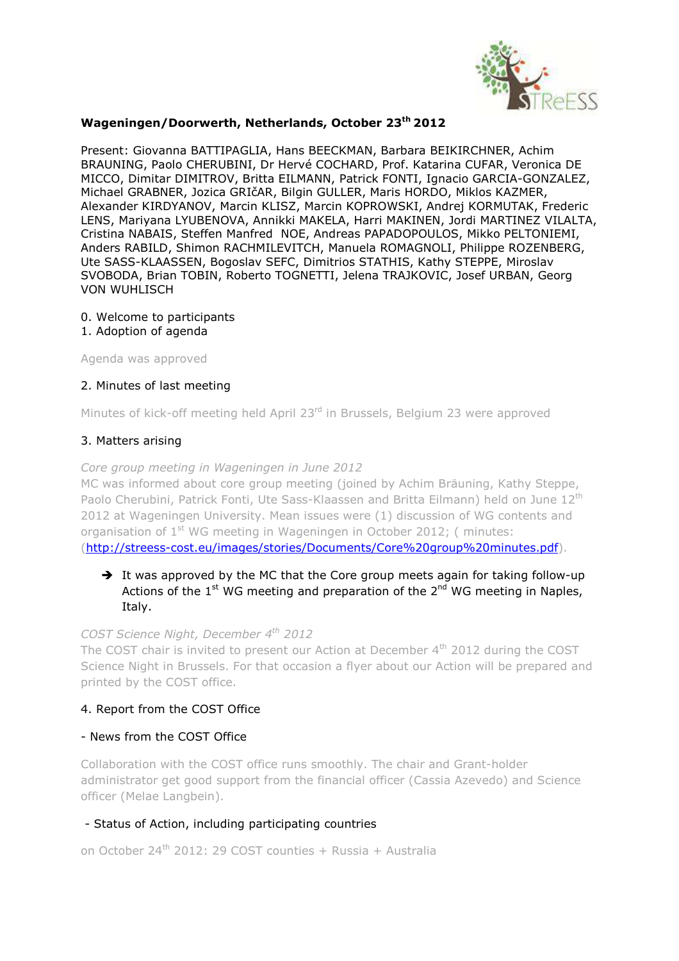

### **Wageningen/Doorwerth, Netherlands, October 23th 2012**

Present: Giovanna BATTIPAGLIA, Hans BEECKMAN, Barbara BEIKIRCHNER, Achim BRAUNING, Paolo CHERUBINI, Dr Hervé COCHARD, Prof. Katarina CUFAR, Veronica DE MICCO, Dimitar DIMITROV, Britta EILMANN, Patrick FONTI, Ignacio GARCIA-GONZALEZ, Michael GRABNER, Jozica GRIčAR, Bilgin GULLER, Maris HORDO, Miklos KAZMER, Alexander KIRDYANOV, Marcin KLISZ, Marcin KOPROWSKI, Andrej KORMUTAK, Frederic LENS, Mariyana LYUBENOVA, Annikki MAKELA, Harri MAKINEN, Jordi MARTINEZ VILALTA, Cristina NABAIS, Steffen Manfred NOE, Andreas PAPADOPOULOS, Mikko PELTONIEMI, Anders RABILD, Shimon RACHMILEVITCH, Manuela ROMAGNOLI, Philippe ROZENBERG, Ute SASS-KLAASSEN, Bogoslav SEFC, Dimitrios STATHIS, Kathy STEPPE, Miroslav SVOBODA, Brian TOBIN, Roberto TOGNETTI, Jelena TRAJKOVIC, Josef URBAN, Georg VON WUHLISCH

- 0. Welcome to participants
- 1. Adoption of agenda

Agenda was approved

#### 2. Minutes of last meeting

Minutes of kick-off meeting held April 23<sup>rd</sup> in Brussels, Belgium 23 were approved

#### 3. Matters arising

#### *Core group meeting in Wageningen in June 2012*

MC was informed about core group meeting (joined by Achim Bräuning, Kathy Steppe, Paolo Cherubini, Patrick Fonti, Ute Sass-Klaassen and Britta Eilmann) held on June 12<sup>th</sup> 2012 at Wageningen University. Mean issues were (1) discussion of WG contents and organisation of 1<sup>st</sup> WG meeting in Wageningen in October 2012; (minutes: (http://streess-cost.eu/images/stories/Documents/Core%20group%20minutes.pdf).

## $\rightarrow$  It was approved by the MC that the Core group meets again for taking follow-up Actions of the  $1^{st}$  WG meeting and preparation of the  $2^{nd}$  WG meeting in Naples, Italy.

#### *COST Science Night, December 4th 2012*

The COST chair is invited to present our Action at December 4<sup>th</sup> 2012 during the COST Science Night in Brussels. For that occasion a flyer about our Action will be prepared and printed by the COST office.

#### 4. Report from the COST Office

#### - News from the COST Office

Collaboration with the COST office runs smoothly. The chair and Grant-holder administrator get good support from the financial officer (Cassia Azevedo) and Science officer (Melae Langbein).

#### - Status of Action, including participating countries

on October 24<sup>th</sup> 2012: 29 COST counties + Russia + Australia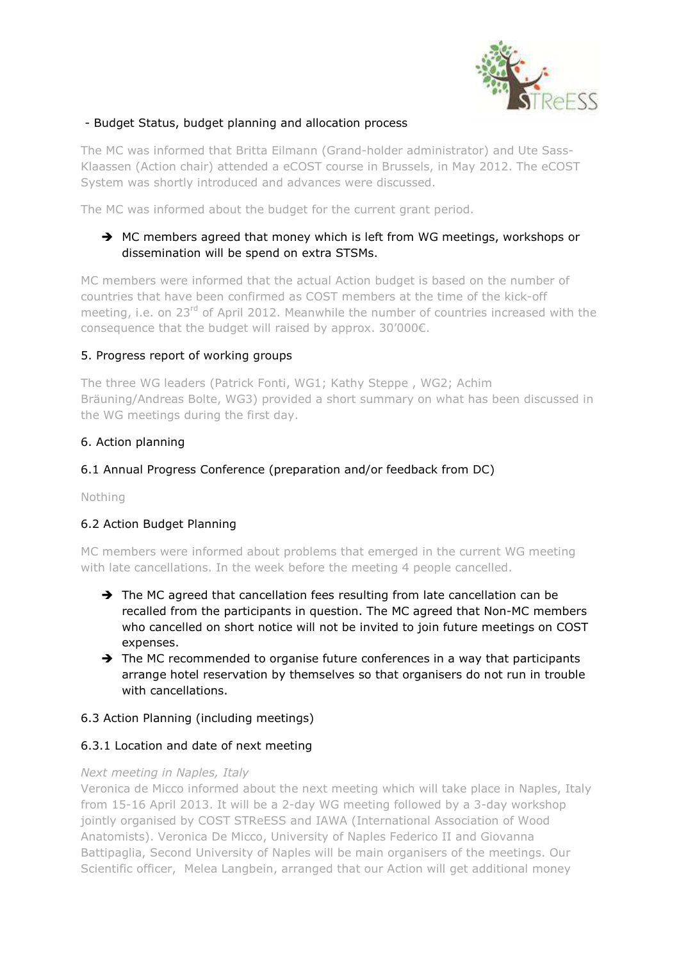

## - Budget Status, budget planning and allocation process

The MC was informed that Britta Eilmann (Grand-holder administrator) and Ute Sass-Klaassen (Action chair) attended a eCOST course in Brussels, in May 2012. The eCOST System was shortly introduced and advances were discussed.

The MC was informed about the budget for the current grant period.

## → MC members agreed that money which is left from WG meetings, workshops or dissemination will be spend on extra STSMs.

MC members were informed that the actual Action budget is based on the number of countries that have been confirmed as COST members at the time of the kick-off meeting, i.e. on 23<sup>rd</sup> of April 2012. Meanwhile the number of countries increased with the consequence that the budget will raised by approx. 30'000€.

### 5. Progress report of working groups

The three WG leaders (Patrick Fonti, WG1; Kathy Steppe , WG2; Achim Bräuning/Andreas Bolte, WG3) provided a short summary on what has been discussed in the WG meetings during the first day.

#### 6. Action planning

### 6.1 Annual Progress Conference (preparation and/or feedback from DC)

Nothing

### 6.2 Action Budget Planning

MC members were informed about problems that emerged in the current WG meeting with late cancellations. In the week before the meeting 4 people cancelled.

- $\rightarrow$  The MC agreed that cancellation fees resulting from late cancellation can be recalled from the participants in question. The MC agreed that Non-MC members who cancelled on short notice will not be invited to join future meetings on COST expenses.
- $\rightarrow$  The MC recommended to organise future conferences in a way that participants arrange hotel reservation by themselves so that organisers do not run in trouble with cancellations.

### 6.3 Action Planning (including meetings)

### 6.3.1 Location and date of next meeting

#### *Next meeting in Naples, Italy*

Veronica de Micco informed about the next meeting which will take place in Naples, Italy from 15-16 April 2013. It will be a 2-day WG meeting followed by a 3-day workshop jointly organised by COST STReESS and IAWA (International Association of Wood Anatomists). Veronica De Micco, University of Naples Federico II and Giovanna Battipaglia, Second University of Naples will be main organisers of the meetings. Our Scientific officer, Melea Langbein, arranged that our Action will get additional money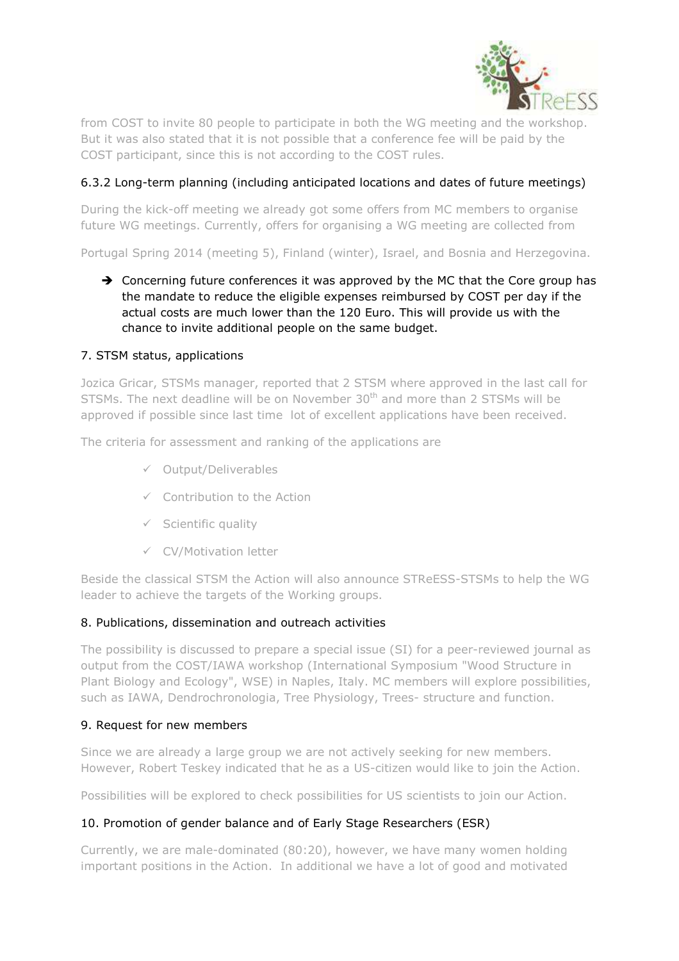

from COST to invite 80 people to participate in both the WG meeting and the workshop. But it was also stated that it is not possible that a conference fee will be paid by the COST participant, since this is not according to the COST rules.

# 6.3.2 Long-term planning (including anticipated locations and dates of future meetings)

During the kick-off meeting we already got some offers from MC members to organise future WG meetings. Currently, offers for organising a WG meeting are collected from

Portugal Spring 2014 (meeting 5), Finland (winter), Israel, and Bosnia and Herzegovina.

# → Concerning future conferences it was approved by the MC that the Core group has the mandate to reduce the eligible expenses reimbursed by COST per day if the actual costs are much lower than the 120 Euro. This will provide us with the chance to invite additional people on the same budget.

### 7. STSM status, applications

Jozica Gricar, STSMs manager, reported that 2 STSM where approved in the last call for STSMs. The next deadline will be on November  $30<sup>th</sup>$  and more than 2 STSMs will be approved if possible since last time lot of excellent applications have been received.

The criteria for assessment and ranking of the applications are

- Output/Deliverables
- Contribution to the Action
- Scientific quality
- CV/Motivation letter

Beside the classical STSM the Action will also announce STReESS-STSMs to help the WG leader to achieve the targets of the Working groups.

### 8. Publications, dissemination and outreach activities

The possibility is discussed to prepare a special issue (SI) for a peer-reviewed journal as output from the COST/IAWA workshop (International Symposium "Wood Structure in Plant Biology and Ecology", WSE) in Naples, Italy. MC members will explore possibilities, such as IAWA, Dendrochronologia, Tree Physiology, Trees- structure and function.

### 9. Request for new members

Since we are already a large group we are not actively seeking for new members. However, Robert Teskey indicated that he as a US-citizen would like to join the Action.

Possibilities will be explored to check possibilities for US scientists to join our Action.

### 10. Promotion of gender balance and of Early Stage Researchers (ESR)

Currently, we are male-dominated (80:20), however, we have many women holding important positions in the Action. In additional we have a lot of good and motivated